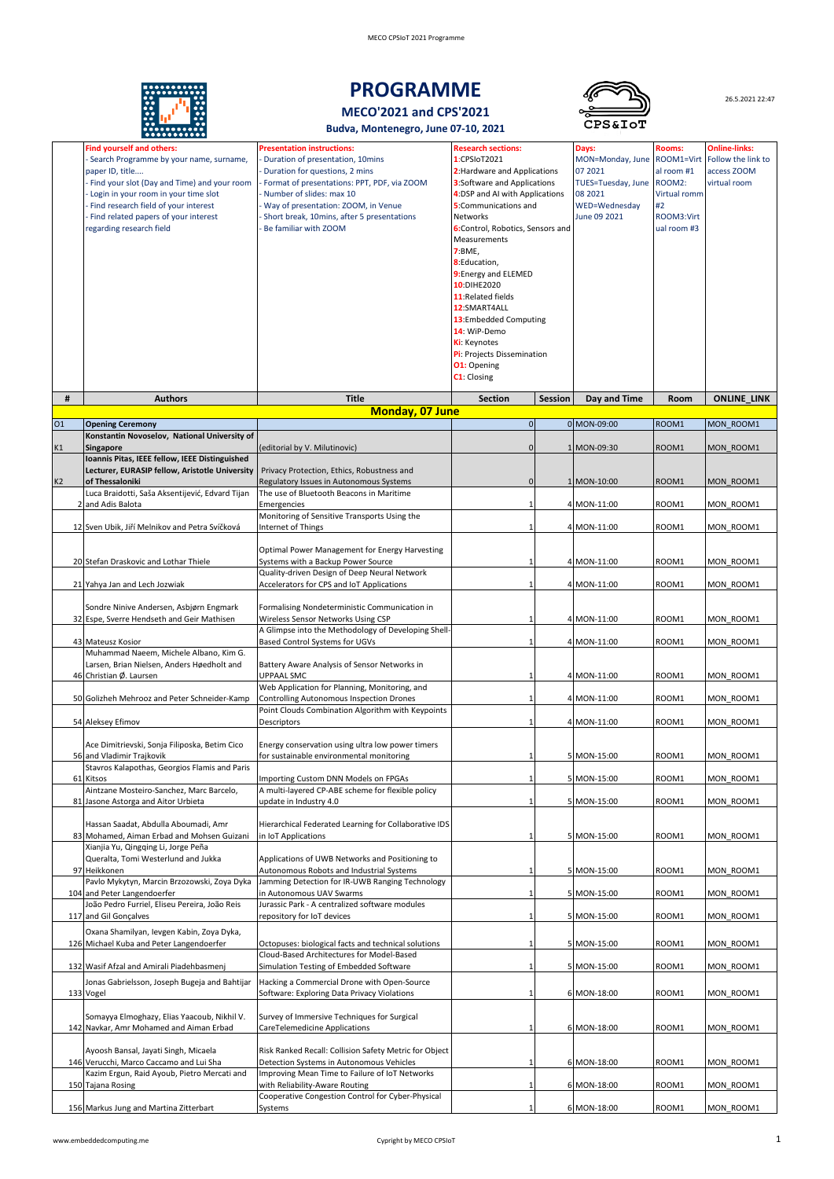

# **PROGRAMME**



26.5.2021 22:47

**MECO'2021 and CPS'2021**

**Budva, Montenegro, June 07-10, 2021** 

|    | <b>Find yourself and others:</b>                                                                 | <b>Presentation instructions:</b>                                                         | <b>Research sections:</b>          |         | Days:              | <b>Rooms:</b> | <b>Online-links:</b> |
|----|--------------------------------------------------------------------------------------------------|-------------------------------------------------------------------------------------------|------------------------------------|---------|--------------------|---------------|----------------------|
|    | Search Programme by your name, surname,                                                          | Duration of presentation, 10mins                                                          | 1:CPSIoT2021                       |         | MON=Monday, June   | ROOM1=Virt    | Follow the link to   |
|    | paper ID, title                                                                                  | Duration for questions, 2 mins                                                            | 2: Hardware and Applications       |         | 07 2021            | al room #1    | access ZOOM          |
|    | - Find your slot (Day and Time) and your room                                                    | Format of presentations: PPT, PDF, via ZOOM                                               | <b>3:Software and Applications</b> |         | TUES=Tuesday, June | ROOM2:        | virtual room         |
|    | - Login in your room in your time slot                                                           | Number of slides: max 10                                                                  | 4:DSP and AI with Applications     |         | 08 2021            | Virtual romm  |                      |
|    | - Find research field of your interest                                                           | Way of presentation: ZOOM, in Venue                                                       | 5:Communications and               |         | WED=Wednesday      | #2            |                      |
|    | - Find related papers of your interest                                                           | Short break, 10mins, after 5 presentations                                                | Networks                           |         | June 09 2021       | ROOM3:Virt    |                      |
|    | regarding research field                                                                         | Be familiar with ZOOM                                                                     | 6:Control, Robotics, Sensors and   |         |                    | ual room #3   |                      |
|    |                                                                                                  |                                                                                           | Measurements                       |         |                    |               |                      |
|    |                                                                                                  |                                                                                           | 7:BME,                             |         |                    |               |                      |
|    |                                                                                                  |                                                                                           | 8:Education,                       |         |                    |               |                      |
|    |                                                                                                  |                                                                                           | 9: Energy and ELEMED               |         |                    |               |                      |
|    |                                                                                                  |                                                                                           | 10:DIHE2020                        |         |                    |               |                      |
|    |                                                                                                  |                                                                                           | 11: Related fields                 |         |                    |               |                      |
|    |                                                                                                  |                                                                                           | 12:SMART4ALL                       |         |                    |               |                      |
|    |                                                                                                  |                                                                                           | 13:Embedded Computing              |         |                    |               |                      |
|    |                                                                                                  |                                                                                           | 14: WiP-Demo                       |         |                    |               |                      |
|    |                                                                                                  |                                                                                           | <b>Ki:</b> Keynotes                |         |                    |               |                      |
|    |                                                                                                  |                                                                                           | Pi: Projects Dissemination         |         |                    |               |                      |
|    |                                                                                                  |                                                                                           | <b>O1:</b> Opening<br>C1: Closing  |         |                    |               |                      |
|    |                                                                                                  |                                                                                           |                                    |         |                    |               |                      |
| #  | <b>Authors</b>                                                                                   | <b>Title</b>                                                                              | <b>Section</b>                     | Session | Day and Time       | Room          | <b>ONLINE_LINK</b>   |
|    |                                                                                                  | Monday, 07 June                                                                           |                                    |         |                    |               |                      |
| 01 | <b>Opening Ceremony</b>                                                                          |                                                                                           | $\mathbf 0$                        |         | 0 MON-09:00        | ROOM1         | MON ROOM1            |
|    | Konstantin Novoselov, National University of                                                     |                                                                                           |                                    |         |                    |               |                      |
| К1 | <b>Singapore</b>                                                                                 | (editorial by V. Milutinovic)                                                             | 0                                  |         | 1 MON-09:30        | ROOM1         | MON ROOM1            |
|    | Ioannis Pitas, IEEE fellow, IEEE Distinguished<br>Lecturer, EURASIP fellow, Aristotle University |                                                                                           |                                    |         |                    |               |                      |
| K2 | of Thessaloniki                                                                                  | Privacy Protection, Ethics, Robustness and<br>Regulatory Issues in Autonomous Systems     | 0                                  |         | 1 MON-10:00        | ROOM1         | MON ROOM1            |
|    | Luca Braidotti, Saša Aksentijević, Edvard Tijan                                                  | The use of Bluetooth Beacons in Maritime                                                  |                                    |         |                    |               |                      |
|    | 2 and Adis Balota                                                                                | Emergencies                                                                               | 1                                  |         | 4 MON-11:00        | ROOM1         | MON ROOM1            |
|    |                                                                                                  | Monitoring of Sensitive Transports Using the                                              |                                    |         |                    |               |                      |
|    | 12 Sven Ubik, Jiří Melnikov and Petra Svíčková                                                   | Internet of Things                                                                        |                                    |         | 4 MON-11:00        | ROOM1         | MON ROOM1            |
|    |                                                                                                  |                                                                                           |                                    |         |                    |               |                      |
|    |                                                                                                  | Optimal Power Management for Energy Harvesting                                            |                                    |         |                    |               |                      |
|    | 20 Stefan Draskovic and Lothar Thiele                                                            | Systems with a Backup Power Source                                                        |                                    |         | 4 MON-11:00        | ROOM1         | MON ROOM1            |
|    |                                                                                                  | Quality-driven Design of Deep Neural Network                                              |                                    |         |                    |               |                      |
|    | 21 Yahya Jan and Lech Jozwiak                                                                    | Accelerators for CPS and IoT Applications                                                 | 1                                  |         | 4 MON-11:00        | ROOM1         | MON ROOM1            |
|    |                                                                                                  |                                                                                           |                                    |         |                    |               |                      |
|    | Sondre Ninive Andersen, Asbjørn Engmark                                                          | Formalising Nondeterministic Communication in                                             |                                    |         |                    |               |                      |
|    | 32 Espe, Sverre Hendseth and Geir Mathisen                                                       | Wireless Sensor Networks Using CSP<br>A Glimpse into the Methodology of Developing Shell- |                                    |         | 4 MON-11:00        | ROOM1         | MON ROOM1            |
|    | 43 Mateusz Kosior                                                                                | Based Control Systems for UGVs                                                            | $\mathbf{1}$                       |         | 4 MON-11:00        | ROOM1         | MON ROOM1            |
|    | Muhammad Naeem, Michele Albano, Kim G.                                                           |                                                                                           |                                    |         |                    |               |                      |
|    | Larsen, Brian Nielsen, Anders Høedholt and                                                       | Battery Aware Analysis of Sensor Networks in                                              |                                    |         |                    |               |                      |
|    | 46 Christian Ø. Laursen                                                                          | UPPAAL SMC                                                                                | 1                                  |         | 4 MON-11:00        | ROOM1         | MON ROOM1            |
|    |                                                                                                  | Web Application for Planning, Monitoring, and                                             |                                    |         |                    |               |                      |
|    | 50 Golizheh Mehrooz and Peter Schneider-Kamp                                                     | <b>Controlling Autonomous Inspection Drones</b>                                           | 1                                  |         | 4 MON-11:00        | ROOM1         | MON ROOM1            |
|    |                                                                                                  | Point Clouds Combination Algorithm with Keypoints                                         |                                    |         |                    |               |                      |
|    | 54 Aleksey Efimov                                                                                | Descriptors                                                                               |                                    |         | 4 MON-11:00        | ROOM1         | MON ROOM1            |
|    |                                                                                                  |                                                                                           |                                    |         |                    |               |                      |
|    | Ace Dimitrievski, Sonja Filiposka, Betim Cico                                                    | Energy conservation using ultra low power timers                                          |                                    |         |                    |               |                      |
|    | 56 and Vladimir Trajkovik                                                                        | for sustainable environmental monitoring                                                  |                                    |         | 5 MON-15:00        | ROOM1         | MON ROOM1            |
|    | Stavros Kalapothas, Georgios Flamis and Paris<br>61 Kitsos                                       | Importing Custom DNN Models on FPGAs                                                      | $\mathbf{1}$                       |         | 5 MON-15:00        | ROOM1         | MON ROOM1            |
|    | Aintzane Mosteiro-Sanchez, Marc Barcelo,                                                         | A multi-layered CP-ABE scheme for flexible policy                                         |                                    |         |                    |               |                      |
|    | 81 Jasone Astorga and Aitor Urbieta                                                              | update in Industry 4.0                                                                    | 1                                  |         | 5 MON-15:00        | ROOM1         | MON ROOM1            |
|    |                                                                                                  |                                                                                           |                                    |         |                    |               |                      |
|    | Hassan Saadat, Abdulla Aboumadi, Amr                                                             | Hierarchical Federated Learning for Collaborative IDS                                     |                                    |         |                    |               |                      |
|    | 83 Mohamed, Aiman Erbad and Mohsen Guizani                                                       | in IoT Applications                                                                       | 1                                  |         | 5 MON-15:00        | ROOM1         | MON ROOM1            |
|    | Xianjia Yu, Qingqing Li, Jorge Peña                                                              |                                                                                           |                                    |         |                    |               |                      |
|    | Queralta, Tomi Westerlund and Jukka                                                              | Applications of UWB Networks and Positioning to                                           |                                    |         |                    |               |                      |
| 97 | Heikkonen                                                                                        | Autonomous Robots and Industrial Systems                                                  |                                    |         | 5 MON-15:00        | ROOM1         | MON ROOM1            |
|    | Pavlo Mykytyn, Marcin Brzozowski, Zoya Dyka<br>104 and Peter Langendoerfer                       | Jamming Detection for IR-UWB Ranging Technology<br>in Autonomous UAV Swarms               | $\mathbf{1}$                       |         | 5 MON-15:00        | ROOM1         | MON ROOM1            |
|    | João Pedro Furriel, Eliseu Pereira, João Reis                                                    | Jurassic Park - A centralized software modules                                            |                                    |         |                    |               |                      |
|    | 117 and Gil Gonçalves                                                                            | repository for IoT devices                                                                | $\mathbf{1}$                       |         | 5 MON-15:00        | ROOM1         | MON ROOM1            |
|    | Oxana Shamilyan, Ievgen Kabin, Zoya Dyka,                                                        |                                                                                           |                                    |         |                    |               |                      |
|    | 126 Michael Kuba and Peter Langendoerfer                                                         | Octopuses: biological facts and technical solutions                                       | 1                                  |         | 5 MON-15:00        | ROOM1         | MON ROOM1            |
|    |                                                                                                  | Cloud-Based Architectures for Model-Based                                                 |                                    |         |                    |               |                      |
|    | 132 Wasif Afzal and Amirali Piadehbasmenj                                                        | Simulation Testing of Embedded Software                                                   | 1                                  |         | 5 MON-15:00        | ROOM1         | MON ROOM1            |
|    | Jonas Gabrielsson, Joseph Bugeja and Bahtijar                                                    | Hacking a Commercial Drone with Open-Source                                               |                                    |         |                    |               |                      |
|    | 133 Vogel                                                                                        | Software: Exploring Data Privacy Violations                                               | 1                                  |         | 6 MON-18:00        | ROOM1         | MON ROOM1            |
|    |                                                                                                  |                                                                                           |                                    |         |                    |               |                      |
|    | Somayya Elmoghazy, Elias Yaacoub, Nikhil V.                                                      | Survey of Immersive Techniques for Surgical                                               |                                    |         |                    |               |                      |
|    | 142 Navkar, Amr Mohamed and Aiman Erbad                                                          | CareTelemedicine Applications                                                             | 1                                  |         | 6 MON-18:00        | ROOM1         | MON_ROOM1            |
|    |                                                                                                  |                                                                                           |                                    |         |                    |               |                      |
|    | Ayoosh Bansal, Jayati Singh, Micaela                                                             | Risk Ranked Recall: Collision Safety Metric for Object                                    |                                    |         |                    |               |                      |
|    | 146 Verucchi, Marco Caccamo and Lui Sha                                                          | Detection Systems in Autonomous Vehicles                                                  | 1                                  |         | 6 MON-18:00        | ROOM1         | MON ROOM1            |
|    | Kazim Ergun, Raid Ayoub, Pietro Mercati and                                                      | Improving Mean Time to Failure of IoT Networks                                            | 1                                  |         |                    |               |                      |
|    | 150 Tajana Rosing                                                                                | with Reliability-Aware Routing<br>Cooperative Congestion Control for Cyber-Physical       |                                    |         | 6 MON-18:00        | ROOM1         | MON ROOM1            |
|    | 156 Markus Jung and Martina Zitterbart                                                           | Systems                                                                                   |                                    |         | 6 MON-18:00        | ROOM1         | MON_ROOM1            |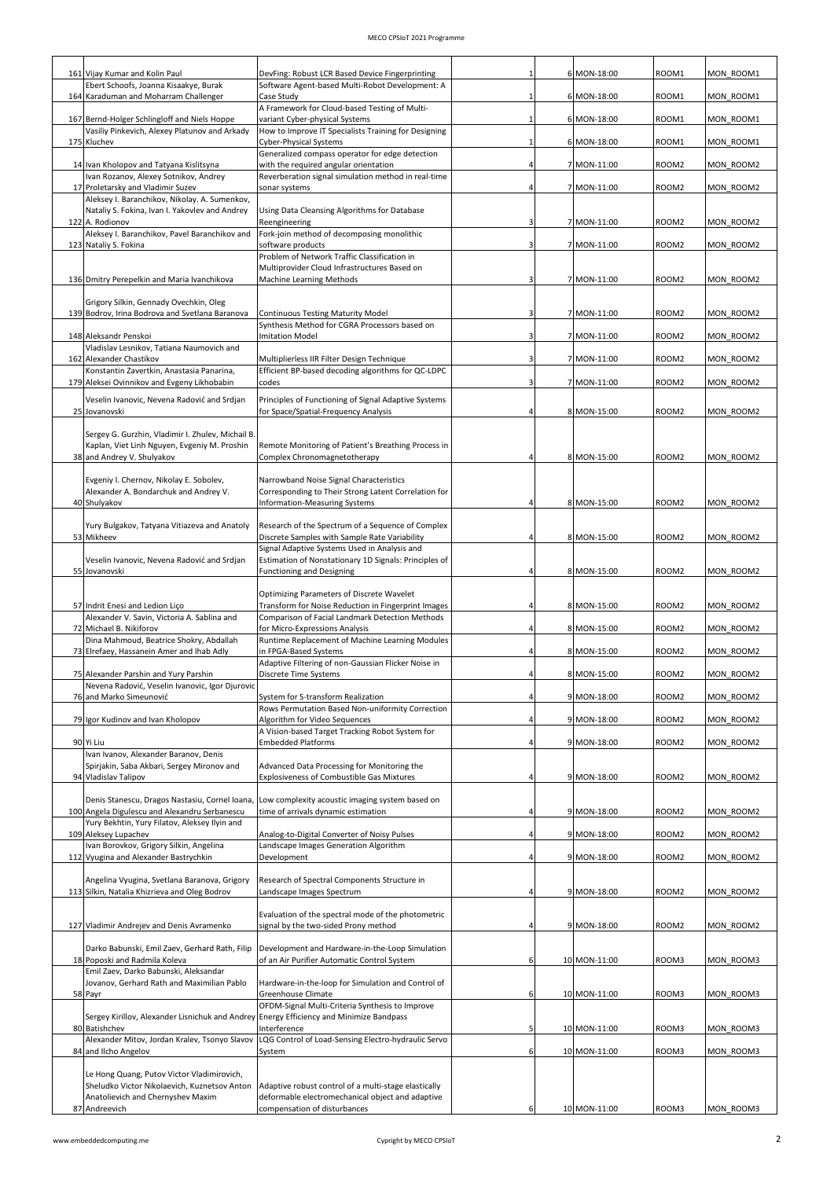| 161 Vijay Kumar and Kolin Paul                                                                                     | DevFing: Robust LCR Based Device Fingerprinting                                                          |                | 6 MON-18:00  | ROOM1             | MON ROOM1 |
|--------------------------------------------------------------------------------------------------------------------|----------------------------------------------------------------------------------------------------------|----------------|--------------|-------------------|-----------|
| Ebert Schoofs, Joanna Kisaakye, Burak                                                                              | Software Agent-based Multi-Robot Development: A                                                          |                |              |                   |           |
| 164 Karaduman and Moharram Challenger                                                                              | Case Study<br>A Framework for Cloud-based Testing of Multi-                                              |                | 6 MON-18:00  | ROOM1             | MON ROOM1 |
| 167 Bernd-Holger Schlingloff and Niels Hoppe<br>Vasiliy Pinkevich, Alexey Platunov and Arkady                      | variant Cyber-physical Systems<br>How to Improve IT Specialists Training for Designing                   | 1              | 6 MON-18:00  | ROOM1             | MON ROOM1 |
| 175 Kluchev                                                                                                        | Cyber-Physical Systems<br>Generalized compass operator for edge detection                                |                | 6 MON-18:00  | ROOM1             | MON ROOM1 |
| 14 Ivan Kholopov and Tatyana Kislitsyna<br>Ivan Rozanov, Alexey Sotnikov, Andrey                                   | with the required angular orientation<br>Reverberation signal simulation method in real-time             | 4              | 7 MON-11:00  | ROOM <sub>2</sub> | MON ROOM2 |
| 17 Proletarsky and Vladimir Suzev                                                                                  | sonar systems                                                                                            |                | 7 MON-11:00  | ROOM2             | MON ROOM2 |
| Aleksey I. Baranchikov, Nikolay. A. Sumenkov,<br>Nataliy S. Fokina, Ivan I. Yakovlev and Andrey<br>122 A. Rodionov | Using Data Cleansing Algorithms for Database<br>Reengineering                                            | 3              | 7 MON-11:00  | ROOM <sub>2</sub> | MON ROOM2 |
| Aleksey I. Baranchikov, Pavel Baranchikov and<br>123 Nataliy S. Fokina                                             | Fork-join method of decomposing monolithic<br>software products                                          | 3              | 7 MON-11:00  | ROOM <sub>2</sub> | MON ROOM2 |
|                                                                                                                    | Problem of Network Traffic Classification in                                                             |                |              |                   |           |
| 136 Dmitry Perepelkin and Maria Ivanchikova                                                                        | Multiprovider Cloud Infrastructures Based on<br>Machine Learning Methods                                 | 3              | 7 MON-11:00  | ROOM2             | MON ROOM2 |
| Grigory Silkin, Gennady Ovechkin, Oleg                                                                             |                                                                                                          |                |              |                   |           |
| 139 Bodrov, Irina Bodrova and Svetlana Baranova                                                                    | <b>Continuous Testing Maturity Model</b><br>Synthesis Method for CGRA Processors based on                | 3              | 7 MON-11:00  | ROOM <sub>2</sub> | MON ROOM2 |
| 148 Aleksandr Penskoi<br>Vladislav Lesnikov, Tatiana Naumovich and                                                 | <b>Imitation Model</b>                                                                                   | 3              | 7 MON-11:00  | ROOM2             | MON ROOM2 |
| 162 Alexander Chastikov                                                                                            | Multiplierless IIR Filter Design Technique                                                               | 3              | 7 MON-11:00  | ROOM2             | MON ROOM2 |
| Konstantin Zavertkin, Anastasia Panarina,<br>179 Aleksei Ovinnikov and Evgeny Likhobabin                           | Efficient BP-based decoding algorithms for QC-LDPC<br>codes                                              | 3              | 7 MON-11:00  | ROOM2             | MON ROOM2 |
| Veselin Ivanovic, Nevena Radović and Srdjan                                                                        | Principles of Functioning of Signal Adaptive Systems                                                     |                |              |                   |           |
| 25 Jovanovski                                                                                                      | for Space/Spatial-Frequency Analysis                                                                     | $\Delta$       | 8 MON-15:00  | ROOM <sub>2</sub> | MON ROOM2 |
| Sergey G. Gurzhin, Vladimir I. Zhulev, Michail B.<br>Kaplan, Viet Linh Nguyen, Evgeniy M. Proshin                  | Remote Monitoring of Patient's Breathing Process in                                                      |                |              |                   |           |
| 38 and Andrey V. Shulyakov                                                                                         | Complex Chronomagnetotherapy                                                                             | $\overline{4}$ | 8 MON-15:00  | ROOM <sub>2</sub> | MON ROOM2 |
| Evgeniy I. Chernov, Nikolay E. Sobolev,                                                                            | Narrowband Noise Signal Characteristics                                                                  |                |              |                   |           |
| Alexander A. Bondarchuk and Andrey V.<br>40 Shulyakov                                                              | Corresponding to Their Strong Latent Correlation for<br>Information-Measuring Systems                    |                | 8 MON-15:00  | ROOM <sub>2</sub> | MON ROOM2 |
| Yury Bulgakov, Tatyana Vitiazeva and Anatoly                                                                       | Research of the Spectrum of a Sequence of Complex                                                        |                |              |                   |           |
| 53 Mikheev                                                                                                         | Discrete Samples with Sample Rate Variability<br>Signal Adaptive Systems Used in Analysis and            | $\overline{4}$ | 8 MON-15:00  | ROOM <sub>2</sub> | MON ROOM2 |
| Veselin Ivanovic, Nevena Radović and Srdjan                                                                        | Estimation of Nonstationary 1D Signals: Principles of                                                    |                |              |                   |           |
| 55 Jovanovski                                                                                                      | <b>Functioning and Designing</b>                                                                         | $\overline{4}$ | 8 MON-15:00  | ROOM <sub>2</sub> | MON ROOM2 |
| 57 Indrit Enesi and Ledion Lico                                                                                    | Optimizing Parameters of Discrete Wavelet<br>Transform for Noise Reduction in Fingerprint Images         | $\overline{4}$ | 8 MON-15:00  | ROOM2             | MON ROOM2 |
| Alexander V. Savin, Victoria A. Sablina and<br>72 Michael B. Nikiforov                                             | Comparison of Facial Landmark Detection Methods<br>for Micro-Expressions Analysis                        | $\overline{4}$ | 8 MON-15:00  | ROOM2             | MON_ROOM2 |
| Dina Mahmoud, Beatrice Shokry, Abdallah                                                                            | Runtime Replacement of Machine Learning Modules<br>in FPGA-Based Systems                                 |                | 8 MON-15:00  |                   |           |
| 73 Elrefaey, Hassanein Amer and Ihab Adly                                                                          | Adaptive Filtering of non-Gaussian Flicker Noise in                                                      |                |              | ROOM2             | MON ROOM2 |
| 75 Alexander Parshin and Yury Parshin<br>Nevena Radović, Veselin Ivanovic, Igor Djurovic                           | Discrete Time Systems                                                                                    | 4              | 8 MON-15:00  | ROOM2             | MON_ROOM2 |
| 76 and Marko Simeunović                                                                                            | System for S-transform Realization<br>Rows Permutation Based Non-uniformity Correction                   | 4              | 9 MON-18:00  | ROOM2             | MON ROOM2 |
| 79 Igor Kudinov and Ivan Kholopov                                                                                  | Algorithm for Video Sequences<br>A Vision-based Target Tracking Robot System for                         | $\overline{4}$ | 9 MON-18:00  | ROOM2             | MON ROOM2 |
| 90 Yi Liu                                                                                                          | <b>Embedded Platforms</b>                                                                                | $\overline{4}$ | 9 MON-18:00  | ROOM2             | MON ROOM2 |
| Ivan Ivanov, Alexander Baranov, Denis<br>Spirjakin, Saba Akbari, Sergey Mironov and                                | Advanced Data Processing for Monitoring the                                                              |                |              |                   |           |
| 94 Vladislav Talipov                                                                                               | <b>Explosiveness of Combustible Gas Mixtures</b>                                                         | $\Delta$       | 9 MON-18:00  | ROOM2             | MON_ROOM2 |
| Denis Stanescu, Dragos Nastasiu, Cornel Ioana,<br>100 Angela Digulescu and Alexandru Serbanescu                    | Low complexity acoustic imaging system based on<br>time of arrivals dynamic estimation                   |                | 9 MON-18:00  | ROOM2             | MON_ROOM2 |
| Yury Bekhtin, Yury Filatov, Aleksey Ilyin and<br>109 Aleksey Lupachev                                              | Analog-to-Digital Converter of Noisy Pulses                                                              | $\overline{4}$ | 9 MON-18:00  | ROOM2             | MON_ROOM2 |
| Ivan Borovkov, Grigory Silkin, Angelina                                                                            | Landscape Images Generation Algorithm                                                                    |                |              |                   |           |
| 112 Vyugina and Alexander Bastrychkin                                                                              | Development                                                                                              | 4              | 9 MON-18:00  | ROOM2             | MON_ROOM2 |
| Angelina Vyugina, Svetlana Baranova, Grigory<br>113 Silkin, Natalia Khizrieva and Oleg Bodrov                      | Research of Spectral Components Structure in<br>Landscape Images Spectrum                                | 4              | 9 MON-18:00  | ROOM2             | MON_ROOM2 |
|                                                                                                                    | Evaluation of the spectral mode of the photometric                                                       |                |              |                   |           |
| 127 Vladimir Andrejev and Denis Avramenko                                                                          | signal by the two-sided Prony method                                                                     | $\overline{4}$ | 9 MON-18:00  | ROOM2             | MON_ROOM2 |
| Darko Babunski, Emil Zaev, Gerhard Rath, Filip                                                                     | Development and Hardware-in-the-Loop Simulation                                                          |                |              |                   |           |
| 18 Poposki and Radmila Koleva<br>Emil Zaev, Darko Babunski, Aleksandar                                             | of an Air Purifier Automatic Control System                                                              | 6              | 10 MON-11:00 | ROOM3             | MON ROOM3 |
| Jovanov, Gerhard Rath and Maximilian Pablo<br>58 Payr                                                              | Hardware-in-the-loop for Simulation and Control of<br>Greenhouse Climate                                 | 6              | 10 MON-11:00 | ROOM3             | MON_ROOM3 |
| Sergey Kirillov, Alexander Lisnichuk and Andrey Energy Efficiency and Minimize Bandpass                            | OFDM-Signal Multi-Criteria Synthesis to Improve                                                          |                |              |                   |           |
| 80 Batishchev                                                                                                      | Interference                                                                                             | 5              | 10 MON-11:00 | ROOM3             | MON ROOM3 |
| Alexander Mitov, Jordan Kralev, Tsonyo Slavov<br>84 and Ilcho Angelov                                              | LQG Control of Load-Sensing Electro-hydraulic Servo<br>System                                            | 6              | 10 MON-11:00 | ROOM3             | MON ROOM3 |
| Le Hong Quang, Putov Victor Vladimirovich,                                                                         |                                                                                                          |                |              |                   |           |
| Sheludko Victor Nikolaevich, Kuznetsov Anton                                                                       | Adaptive robust control of a multi-stage elastically<br>deformable electromechanical object and adaptive |                |              |                   |           |
| Anatolievich and Chernyshev Maxim                                                                                  |                                                                                                          |                |              |                   |           |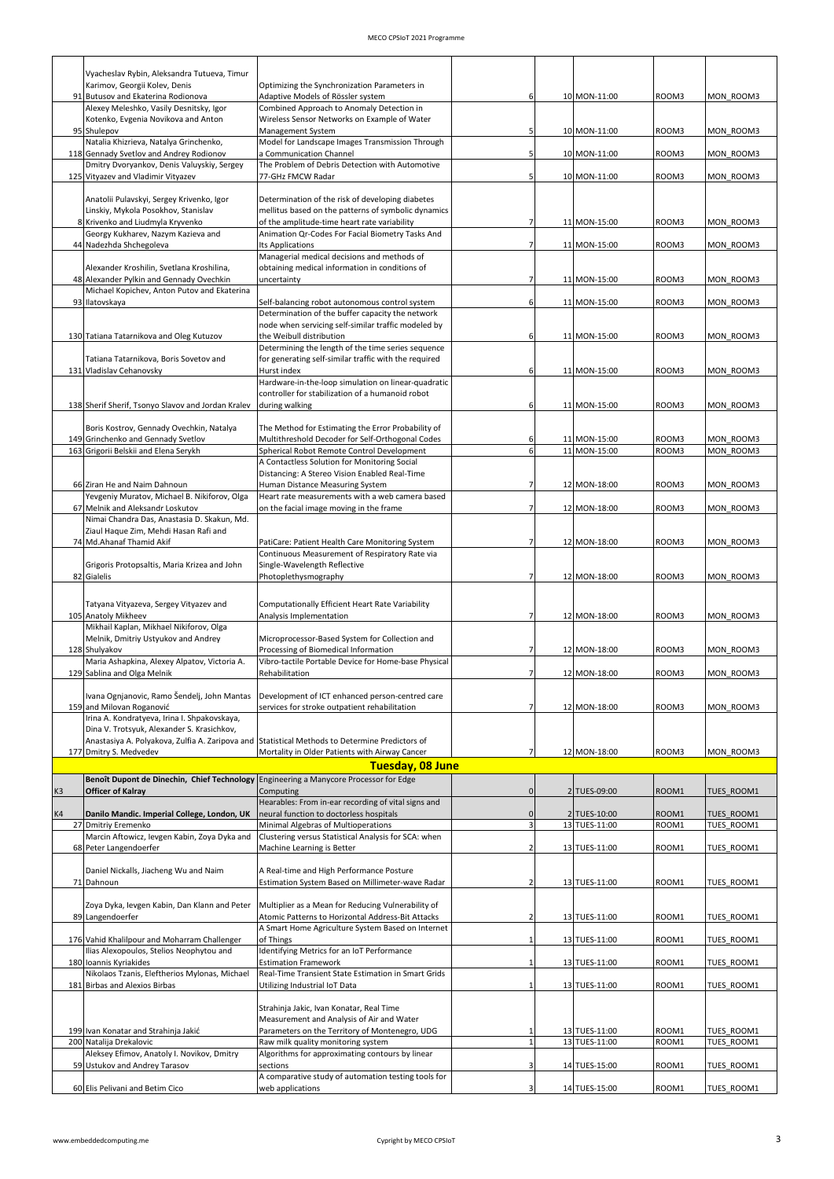|    | Vyacheslav Rybin, Aleksandra Tutueva, Timur                                                    |                                                                                             |                |               |       |                   |
|----|------------------------------------------------------------------------------------------------|---------------------------------------------------------------------------------------------|----------------|---------------|-------|-------------------|
|    | Karimov, Georgii Kolev, Denis                                                                  | Optimizing the Synchronization Parameters in                                                |                |               |       |                   |
|    | 91 Butusov and Ekaterina Rodionova                                                             | Adaptive Models of Rössler system                                                           | 6              | 10 MON-11:00  | ROOM3 | MON ROOM3         |
|    | Alexey Meleshko, Vasily Desnitsky, Igor                                                        | Combined Approach to Anomaly Detection in                                                   |                |               |       |                   |
|    | Kotenko, Evgenia Novikova and Anton<br>95 Shulepov                                             | Wireless Sensor Networks on Example of Water<br>Management System                           | 5              | 10 MON-11:00  | ROOM3 | MON ROOM3         |
|    | Natalia Khizrieva, Natalya Grinchenko,                                                         | Model for Landscape Images Transmission Through                                             |                |               |       |                   |
|    | 118 Gennady Svetlov and Andrey Rodionov                                                        | a Communication Channel                                                                     | 5              | 10 MON-11:00  | ROOM3 | MON ROOM3         |
|    | Dmitry Dvoryankov, Denis Valuyskiy, Sergey                                                     | The Problem of Debris Detection with Automotive                                             |                |               |       |                   |
|    | 125 Vityazev and Vladimir Vityazev                                                             | 77-GHz FMCW Radar                                                                           |                | 10 MON-11:00  | ROOM3 | MON ROOM3         |
|    |                                                                                                |                                                                                             |                |               |       |                   |
|    | Anatolii Pulavskyi, Sergey Krivenko, Igor                                                      | Determination of the risk of developing diabetes                                            |                |               |       |                   |
|    | Linskiy, Mykola Posokhov, Stanislav                                                            | mellitus based on the patterns of symbolic dynamics                                         |                |               |       |                   |
|    | 8 Krivenko and Liudmyla Kryvenko                                                               | of the amplitude-time heart rate variability                                                | $\overline{7}$ | 11 MON-15:00  | ROOM3 | MON ROOM3         |
|    | Georgy Kukharev, Nazym Kazieva and<br>44 Nadezhda Shchegoleva                                  | Animation Qr-Codes For Facial Biometry Tasks And<br>Its Applications                        | $\overline{7}$ | 11 MON-15:00  | ROOM3 | MON ROOM3         |
|    |                                                                                                | Managerial medical decisions and methods of                                                 |                |               |       |                   |
|    | Alexander Kroshilin, Svetlana Kroshilina,                                                      | obtaining medical information in conditions of                                              |                |               |       |                   |
|    | 48 Alexander Pylkin and Gennady Ovechkin                                                       | uncertainty                                                                                 | 7              | 11 MON-15:00  | ROOM3 | MON ROOM3         |
|    | Michael Kopichev, Anton Putov and Ekaterina                                                    |                                                                                             |                |               |       |                   |
|    | 93 Ilatovskaya                                                                                 | Self-balancing robot autonomous control system                                              | 6              | 11 MON-15:00  | ROOM3 | MON ROOM3         |
|    |                                                                                                | Determination of the buffer capacity the network                                            |                |               |       |                   |
|    |                                                                                                | node when servicing self-similar traffic modeled by                                         |                |               |       |                   |
|    | 130 Tatiana Tatarnikova and Oleg Kutuzov                                                       | the Weibull distribution                                                                    | 6              | 11 MON-15:00  | ROOM3 | MON ROOM3         |
|    |                                                                                                | Determining the length of the time series sequence                                          |                |               |       |                   |
|    | Tatiana Tatarnikova, Boris Sovetov and<br>131 Vladislav Cehanovsky                             | for generating self-similar traffic with the required<br>Hurst index                        | 6              | 11 MON-15:00  | ROOM3 | MON ROOM3         |
|    |                                                                                                | Hardware-in-the-loop simulation on linear-quadratic                                         |                |               |       |                   |
|    |                                                                                                | controller for stabilization of a humanoid robot                                            |                |               |       |                   |
|    | 138 Sherif Sherif, Tsonyo Slavov and Jordan Kralev                                             | during walking                                                                              | 6              | 11 MON-15:00  | ROOM3 | MON ROOM3         |
|    |                                                                                                |                                                                                             |                |               |       |                   |
|    | Boris Kostrov, Gennady Ovechkin, Natalya                                                       | The Method for Estimating the Error Probability of                                          |                |               |       |                   |
|    | 149 Grinchenko and Gennady Svetlov                                                             | Multithreshold Decoder for Self-Orthogonal Codes                                            | 6              | 11 MON-15:00  | ROOM3 | MON ROOM3         |
|    | 163 Grigorii Belskii and Elena Serykh                                                          | Spherical Robot Remote Control Development                                                  | 6              | 11 MON-15:00  | ROOM3 | MON ROOM3         |
|    |                                                                                                | A Contactless Solution for Monitoring Social                                                |                |               |       |                   |
|    | 66 Ziran He and Naim Dahnoun                                                                   | Distancing: A Stereo Vision Enabled Real-Time<br>Human Distance Measuring System            | $\overline{7}$ | 12 MON-18:00  | ROOM3 | MON ROOM3         |
|    | Yevgeniy Muratov, Michael B. Nikiforov, Olga                                                   | Heart rate measurements with a web camera based                                             |                |               |       |                   |
|    | 67 Melnik and Aleksandr Loskutov                                                               | on the facial image moving in the frame                                                     | $\overline{7}$ | 12 MON-18:00  | ROOM3 | MON ROOM3         |
|    | Nimai Chandra Das, Anastasia D. Skakun, Md.                                                    |                                                                                             |                |               |       |                   |
|    | Ziaul Haque Zim, Mehdi Hasan Rafi and                                                          |                                                                                             |                |               |       |                   |
|    | 74 Md.Ahanaf Thamid Akif                                                                       | PatiCare: Patient Health Care Monitoring System                                             | 7              | 12 MON-18:00  | ROOM3 | MON ROOM3         |
|    |                                                                                                | Continuous Measurement of Respiratory Rate via                                              |                |               |       |                   |
|    | Grigoris Protopsaltis, Maria Krizea and John                                                   | Single-Wavelength Reflective                                                                |                |               |       |                   |
|    | 82 Gialelis                                                                                    | Photoplethysmography                                                                        |                | 12 MON-18:00  | ROOM3 | MON ROOM3         |
|    |                                                                                                |                                                                                             |                |               |       |                   |
|    | Tatyana Vityazeva, Sergey Vityazev and                                                         | Computationally Efficient Heart Rate Variability                                            |                |               |       |                   |
|    | 105 Anatoly Mikheev                                                                            | Analysis Implementation                                                                     | $\overline{7}$ | 12 MON-18:00  | ROOM3 | MON ROOM3         |
|    | Mikhail Kaplan, Mikhael Nikiforov, Olga                                                        |                                                                                             |                |               |       |                   |
|    | Melnik, Dmitriy Ustyukov and Andrey<br>128 Shulyakov                                           | Microprocessor-Based System for Collection and<br>Processing of Biomedical Information      | 7              | 12 MON-18:00  | ROOM3 | MON ROOM3         |
|    | Maria Ashapkina, Alexey Alpatov, Victoria A.                                                   | Vibro-tactile Portable Device for Home-base Physical                                        |                |               |       |                   |
|    | 129 Sablina and Olga Melnik                                                                    | Rehabilitation                                                                              |                | 12 MON-18:00  | ROOM3 | MON ROOM3         |
|    |                                                                                                |                                                                                             |                |               |       |                   |
|    | Ivana Ognjanovic, Ramo Šendelj, John Mantas                                                    | Development of ICT enhanced person-centred care                                             |                |               |       |                   |
|    | 159 and Milovan Roganović                                                                      | services for stroke outpatient rehabilitation                                               | 7              | 12 MON-18:00  | ROOM3 | MON ROOM3         |
|    | Irina A. Kondratyeva, Irina I. Shpakovskaya,                                                   |                                                                                             |                |               |       |                   |
|    | Dina V. Trotsyuk, Alexander S. Krasichkov,                                                     |                                                                                             |                |               |       |                   |
|    | Anastasiya A. Polyakova, Zulfia A. Zaripova and Statistical Methods to Determine Predictors of |                                                                                             | $\overline{7}$ |               |       | MON ROOM3         |
|    | 177 Dmitry S. Medvedev                                                                         | Mortality in Older Patients with Airway Cancer                                              |                | 12 MON-18:00  | ROOM3 |                   |
|    |                                                                                                | <b>Tuesday, 08 June</b>                                                                     |                |               |       |                   |
|    | Benoît Dupont de Dinechin, Chief Technology                                                    | Engineering a Manycore Processor for Edge                                                   | $\overline{0}$ |               | ROOM1 |                   |
| K3 | <b>Officer of Kalray</b>                                                                       | Computing<br>Hearables: From in-ear recording of vital signs and                            |                | 2 TUES-09:00  |       | TUES ROOM1        |
| K4 | Danilo Mandic. Imperial College, London, UK                                                    | neural function to doctorless hospitals                                                     | $\mathbf{0}$   | 2 TUES-10:00  | ROOM1 | <b>TUES ROOM1</b> |
|    | 27 Dmitriy Eremenko                                                                            | Minimal Algebras of Multioperations                                                         |                | 13 TUES-11:00 | ROOM1 | TUES_ROOM1        |
|    | Marcin Aftowicz, levgen Kabin, Zoya Dyka and                                                   | Clustering versus Statistical Analysis for SCA: when                                        |                |               |       |                   |
|    | 68 Peter Langendoerfer                                                                         | Machine Learning is Better                                                                  | $\overline{2}$ | 13 TUES-11:00 | ROOM1 | TUES ROOM1        |
|    |                                                                                                |                                                                                             |                |               |       |                   |
|    | Daniel Nickalls, Jiacheng Wu and Naim                                                          | A Real-time and High Performance Posture                                                    |                |               |       |                   |
|    | 71 Dahnoun                                                                                     | Estimation System Based on Millimeter-wave Radar                                            | $\overline{2}$ | 13 TUES-11:00 | ROOM1 | TUES ROOM1        |
|    | Zoya Dyka, Ievgen Kabin, Dan Klann and Peter                                                   | Multiplier as a Mean for Reducing Vulnerability of                                          |                |               |       |                   |
|    | 89 Langendoerfer                                                                               | Atomic Patterns to Horizontal Address-Bit Attacks                                           |                | 13 TUES-11:00 | ROOM1 | <b>TUES ROOM1</b> |
|    |                                                                                                | A Smart Home Agriculture System Based on Internet                                           |                |               |       |                   |
|    | 176 Vahid Khalilpour and Moharram Challenger                                                   | of Things                                                                                   | $\mathbf{1}$   | 13 TUES-11:00 | ROOM1 | <b>TUES ROOM1</b> |
|    | Ilias Alexopoulos, Stelios Neophytou and                                                       | Identifying Metrics for an IoT Performance                                                  |                |               |       |                   |
|    | 180 Ioannis Kyriakides                                                                         | <b>Estimation Framework</b>                                                                 | 1              | 13 TUES-11:00 | ROOM1 | <b>TUES ROOM1</b> |
|    | Nikolaos Tzanis, Eleftherios Mylonas, Michael                                                  | Real-Time Transient State Estimation in Smart Grids                                         |                |               |       |                   |
|    | 181 Birbas and Alexios Birbas                                                                  | Utilizing Industrial IoT Data                                                               | 1              | 13 TUES-11:00 | ROOM1 | <b>TUES ROOM1</b> |
|    |                                                                                                |                                                                                             |                |               |       |                   |
|    |                                                                                                | Strahinja Jakic, Ivan Konatar, Real Time                                                    |                |               |       |                   |
|    | 199 Ivan Konatar and Strahinja Jakić                                                           | Measurement and Analysis of Air and Water<br>Parameters on the Territory of Montenegro, UDG |                | 13 TUES-11:00 | ROOM1 | TUES ROOM1        |
|    | 200 Natalija Drekalovic                                                                        | Raw milk quality monitoring system                                                          |                | 13 TUES-11:00 | ROOM1 | TUES_ROOM1        |
|    | Aleksey Efimov, Anatoly I. Novikov, Dmitry                                                     | Algorithms for approximating contours by linear                                             |                |               |       |                   |
|    | 59 Ustukov and Andrey Tarasov                                                                  | sections                                                                                    | 3              | 14 TUES-15:00 | ROOM1 | TUES ROOM1        |
|    |                                                                                                |                                                                                             |                |               |       |                   |
|    |                                                                                                | A comparative study of automation testing tools for<br>web applications                     | $\overline{3}$ | 14 TUES-15:00 |       |                   |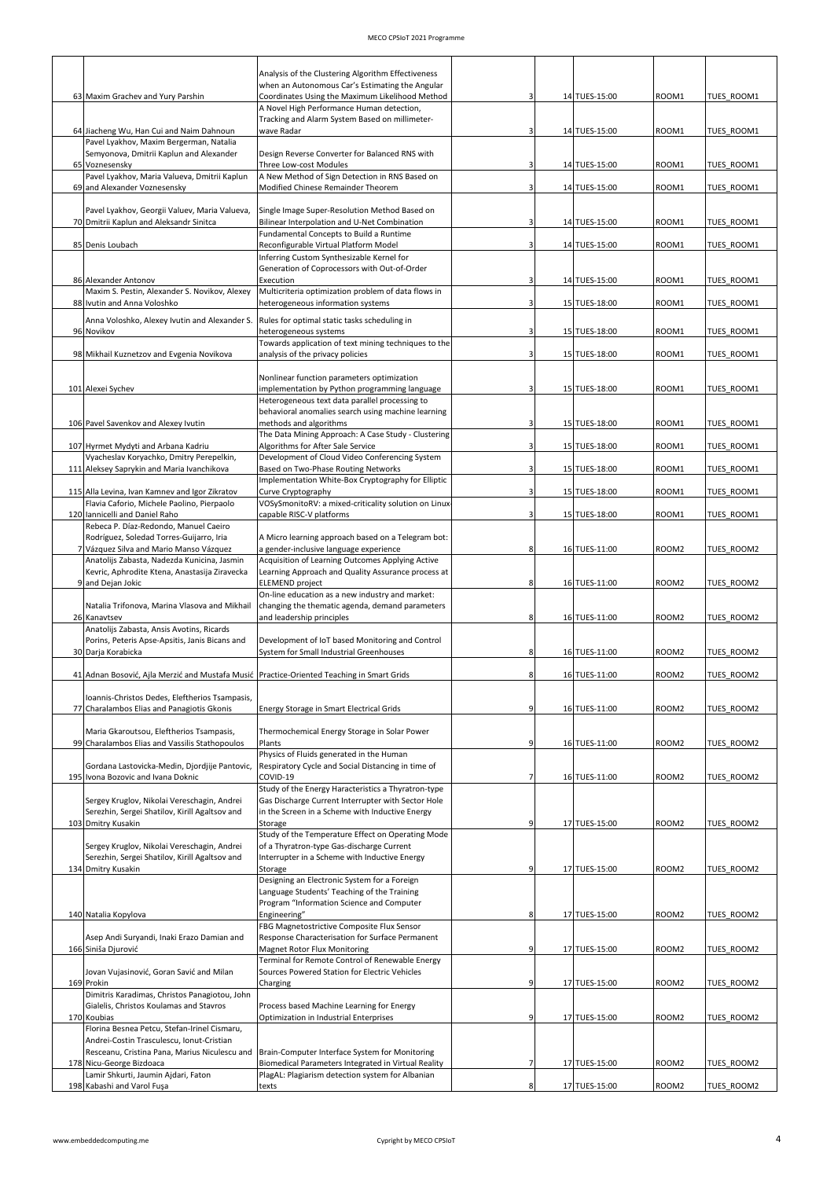|                                                                                             | Analysis of the Clustering Algorithm Effectiveness<br>when an Autonomous Car's Estimating the Angular     |              |                                |                   |                          |
|---------------------------------------------------------------------------------------------|-----------------------------------------------------------------------------------------------------------|--------------|--------------------------------|-------------------|--------------------------|
| 63 Maxim Grachev and Yury Parshin                                                           | Coordinates Using the Maximum Likelihood Method<br>A Novel High Performance Human detection,              |              | 14 TUES-15:00                  | ROOM1             | TUES ROOM1               |
|                                                                                             | Tracking and Alarm System Based on millimeter-                                                            |              |                                |                   |                          |
| 64 Jiacheng Wu, Han Cui and Naim Dahnoun<br>Pavel Lyakhov, Maxim Bergerman, Natalia         | wave Radar                                                                                                |              | 14 TUES-15:00                  | ROOM1             | TUES ROOM1               |
| Semyonova, Dmitrii Kaplun and Alexander                                                     | Design Reverse Converter for Balanced RNS with                                                            |              |                                |                   |                          |
| 65 Voznesensky                                                                              | Three Low-cost Modules<br>A New Method of Sign Detection in RNS Based on                                  |              | 14 TUES-15:00                  | ROOM1             | TUES ROOM1               |
| Pavel Lyakhov, Maria Valueva, Dmitrii Kaplun<br>69 and Alexander Voznesensky                | Modified Chinese Remainder Theorem                                                                        |              | 14 TUES-15:00                  | ROOM1             | TUES ROOM1               |
|                                                                                             |                                                                                                           |              |                                |                   |                          |
| Pavel Lyakhov, Georgii Valuev, Maria Valueva,<br>70 Dmitrii Kaplun and Aleksandr Sinitca    | Single Image Super-Resolution Method Based on<br>Bilinear Interpolation and U-Net Combination             |              | 14 TUES-15:00                  | ROOM1             | TUES ROOM1               |
|                                                                                             | Fundamental Concepts to Build a Runtime                                                                   |              |                                |                   |                          |
| 85 Denis Loubach                                                                            | Reconfigurable Virtual Platform Model<br>Inferring Custom Synthesizable Kernel for                        |              | 14 TUES-15:00                  | ROOM1             | TUES ROOM1               |
|                                                                                             | Generation of Coprocessors with Out-of-Order                                                              |              |                                |                   |                          |
| 86 Alexander Antonov<br>Maxim S. Pestin, Alexander S. Novikov, Alexey                       | Execution<br>Multicriteria optimization problem of data flows in                                          | 3            | 14 TUES-15:00                  | ROOM1             | TUES ROOM1               |
| 88 Ivutin and Anna Voloshko                                                                 | heterogeneous information systems                                                                         | $\mathbf{a}$ | 15 TUES-18:00                  | ROOM1             | TUES ROOM1               |
| Anna Voloshko, Alexey Ivutin and Alexander S.                                               | Rules for optimal static tasks scheduling in                                                              |              |                                |                   |                          |
| 96 Novikov                                                                                  | heterogeneous systems<br>Towards application of text mining techniques to the                             |              | 15 TUES-18:00                  | ROOM1             | TUES ROOM1               |
| 98 Mikhail Kuznetzov and Evgenia Novikova                                                   | analysis of the privacy policies                                                                          | 3            | 15 TUES-18:00                  | ROOM1             | TUES ROOM1               |
|                                                                                             | Nonlinear function parameters optimization                                                                |              |                                |                   |                          |
| 101 Alexei Sychev                                                                           | implementation by Python programming language                                                             | 3            | 15 TUES-18:00                  | ROOM1             | TUES ROOM1               |
|                                                                                             | Heterogeneous text data parallel processing to<br>behavioral anomalies search using machine learning      |              |                                |                   |                          |
| 106 Pavel Savenkov and Alexey Ivutin                                                        | methods and algorithms                                                                                    |              | 15 TUES-18:00                  | ROOM1             | TUES ROOM1               |
| 107 Hyrmet Mydyti and Arbana Kadriu                                                         | The Data Mining Approach: A Case Study - Clustering<br>Algorithms for After Sale Service                  |              | 15 TUES-18:00                  | ROOM1             | TUES ROOM1               |
| Vyacheslav Koryachko, Dmitry Perepelkin,                                                    | Development of Cloud Video Conferencing System                                                            |              |                                |                   |                          |
| 111 Aleksey Saprykin and Maria Ivanchikova                                                  | Based on Two-Phase Routing Networks<br>Implementation White-Box Cryptography for Elliptic                 |              | 15 TUES-18:00                  | ROOM1             | TUES ROOM1               |
| 115 Alla Levina, Ivan Kamnev and Igor Zikratov                                              | Curve Cryptography                                                                                        |              | 15 TUES-18:00                  | ROOM1             | TUES ROOM1               |
| Flavia Caforio, Michele Paolino, Pierpaolo<br>120 Iannicelli and Daniel Raho                | VOSySmonitoRV: a mixed-criticality solution on Linux<br>capable RISC-V platforms                          | 3            | 15 TUES-18:00                  | ROOM1             | TUES ROOM1               |
| Rebeca P. Díaz-Redondo, Manuel Caeiro                                                       |                                                                                                           |              |                                |                   |                          |
| Rodríguez, Soledad Torres-Guijarro, Iria<br>7 Vázquez Silva and Mario Manso Vázquez         | A Micro learning approach based on a Telegram bot:<br>a gender-inclusive language experience              | 8            | 16 TUES-11:00                  | ROOM <sub>2</sub> | TUES ROOM2               |
| Anatolijs Zabasta, Nadezda Kunicina, Jasmin                                                 | Acquisition of Learning Outcomes Applying Active                                                          |              |                                |                   |                          |
| Kevric, Aphrodite Ktena, Anastasija Ziravecka<br>9 and Dejan Jokic                          | Learning Approach and Quality Assurance process at<br><b>ELEMEND</b> project                              | 8            | 16 TUES-11:00                  | ROOM2             | TUES ROOM2               |
|                                                                                             |                                                                                                           |              |                                |                   |                          |
|                                                                                             | On-line education as a new industry and market:                                                           |              |                                |                   |                          |
| Natalia Trifonova, Marina Vlasova and Mikhail                                               | changing the thematic agenda, demand parameters                                                           |              |                                |                   |                          |
| 26 Kanavtsev<br>Anatolijs Zabasta, Ansis Avotins, Ricards                                   | and leadership principles                                                                                 | 8            | 16 TUES-11:00                  | ROOM2             | TUES ROOM2               |
| Porins, Peteris Apse-Apsitis, Janis Bicans and                                              | Development of IoT based Monitoring and Control                                                           |              |                                |                   |                          |
| 30 Darja Korabicka                                                                          | System for Small Industrial Greenhouses                                                                   | 8            | 16 TUES-11:00                  | ROOM2             | TUES ROOM2               |
| 41 Adnan Bosović, Ajla Merzić and Mustafa Musić   Practice-Oriented Teaching in Smart Grids |                                                                                                           | 8            | 16 TUES-11:00                  | ROOM2             | TUES ROOM2               |
| Ioannis-Christos Dedes, Eleftherios Tsampasis,                                              |                                                                                                           |              |                                |                   |                          |
| 77 Charalambos Elias and Panagiotis Gkonis                                                  | Energy Storage in Smart Electrical Grids                                                                  | 9            | 16 TUES-11:00                  | ROOM2             | TUES ROOM2               |
| Maria Gkaroutsou, Eleftherios Tsampasis,                                                    | Thermochemical Energy Storage in Solar Power                                                              |              |                                |                   |                          |
| 99 Charalambos Elias and Vassilis Stathopoulos                                              | Plants                                                                                                    |              | 16 TUES-11:00                  | ROOM2             | TUES_ROOM2               |
| Gordana Lastovicka-Medin, Djordjije Pantovic,                                               | Physics of Fluids generated in the Human<br>Respiratory Cycle and Social Distancing in time of            |              |                                |                   |                          |
| 195 Ivona Bozovic and Ivana Doknic                                                          | COVID-19                                                                                                  |              | 16 TUES-11:00                  | ROOM2             | TUES ROOM2               |
| Sergey Kruglov, Nikolai Vereschagin, Andrei                                                 | Study of the Energy Haracteristics a Thyratron-type<br>Gas Discharge Current Interrupter with Sector Hole |              |                                |                   |                          |
| Serezhin, Sergei Shatilov, Kirill Agaltsov and                                              | in the Screen in a Scheme with Inductive Energy                                                           |              |                                |                   |                          |
| 103 Dmitry Kusakin                                                                          | Storage<br>Study of the Temperature Effect on Operating Mode                                              |              | 17 TUES-15:00                  | ROOM2             | TUES_ROOM2               |
| Sergey Kruglov, Nikolai Vereschagin, Andrei                                                 | of a Thyratron-type Gas-discharge Current                                                                 |              |                                |                   |                          |
| Serezhin, Sergei Shatilov, Kirill Agaltsov and<br>134 Dmitry Kusakin                        | Interrupter in a Scheme with Inductive Energy<br>Storage                                                  | 9            | 17 TUES-15:00                  | ROOM2             | TUES_ROOM2               |
|                                                                                             | Designing an Electronic System for a Foreign                                                              |              |                                |                   |                          |
|                                                                                             | Language Students' Teaching of the Training<br>Program "Information Science and Computer                  |              |                                |                   |                          |
| 140 Natalia Kopylova                                                                        | Engineering"                                                                                              | 8            | 17 TUES-15:00                  | ROOM2             | TUES_ROOM2               |
| Asep Andi Suryandi, Inaki Erazo Damian and                                                  | FBG Magnetostrictive Composite Flux Sensor<br>Response Characterisation for Surface Permanent             |              |                                |                   |                          |
| 166 Siniša Djurović                                                                         | Magnet Rotor Flux Monitoring                                                                              |              | 17 TUES-15:00                  | ROOM2             | TUES ROOM2               |
| Jovan Vujasinović, Goran Savić and Milan                                                    | Terminal for Remote Control of Renewable Energy<br>Sources Powered Station for Electric Vehicles          |              |                                |                   |                          |
| 169 Prokin                                                                                  | Charging                                                                                                  | q            | 17 TUES-15:00                  | ROOM2             | TUES ROOM2               |
| Dimitris Karadimas, Christos Panagiotou, John<br>Gialelis, Christos Koulamas and Stavros    | Process based Machine Learning for Energy                                                                 |              |                                |                   |                          |
| 170 Koubias                                                                                 | Optimization in Industrial Enterprises                                                                    | q            | 17 TUES-15:00                  | ROOM2             | TUES_ROOM2               |
| Florina Besnea Petcu, Stefan-Irinel Cismaru,<br>Andrei-Costin Trasculescu, Ionut-Cristian   |                                                                                                           |              |                                |                   |                          |
| Resceanu, Cristina Pana, Marius Niculescu and                                               | Brain-Computer Interface System for Monitoring                                                            |              |                                |                   |                          |
| 178 Nicu-George Bizdoaca<br>Lamir Shkurti, Jaumin Ajdari, Faton                             | Biomedical Parameters Integrated in Virtual Reality<br>PlagAL: Plagiarism detection system for Albanian   |              | 17 TUES-15:00<br>17 TUES-15:00 | ROOM2             | TUES ROOM2<br>TUES ROOM2 |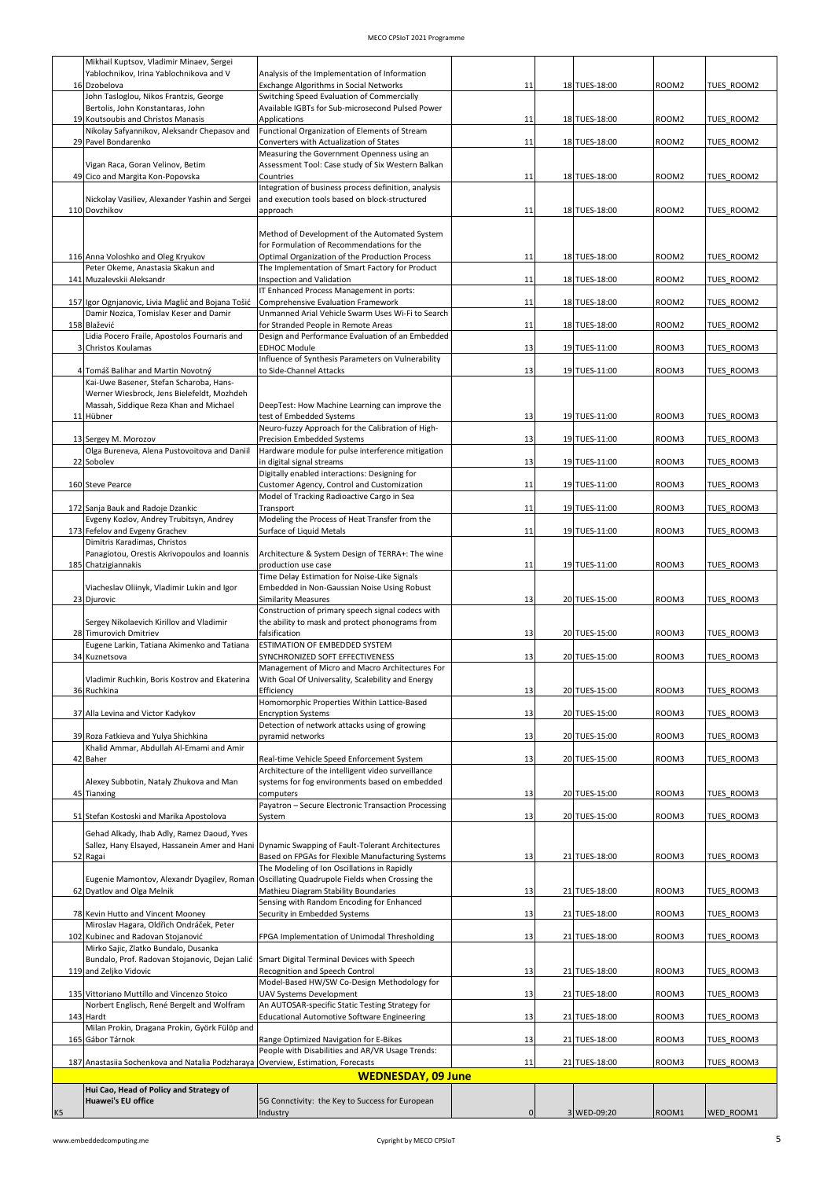|    | Mikhail Kuptsov, Vladimir Minaev, Sergei                                           |                                                                                                  |             |               |                   |                   |
|----|------------------------------------------------------------------------------------|--------------------------------------------------------------------------------------------------|-------------|---------------|-------------------|-------------------|
|    | Yablochnikov. Irina Yablochnikova and V<br>16 Dzobelova                            | Analysis of the Implementation of Information<br>Exchange Algorithms in Social Networks          | 11          | 18 TUES-18:00 | ROOM <sub>2</sub> | TUES ROOM2        |
|    | John Tasloglou, Nikos Frantzis, George                                             | Switching Speed Evaluation of Commercially                                                       |             |               |                   |                   |
|    | Bertolis, John Konstantaras, John                                                  | Available IGBTs for Sub-microsecond Pulsed Power                                                 |             |               |                   |                   |
|    | 19 Koutsoubis and Christos Manasis<br>Nikolay Safyannikov, Aleksandr Chepasov and  | <b>Applications</b><br>Functional Organization of Elements of Stream                             | 11          | 18 TUES-18:00 | ROOM2             | TUES_ROOM2        |
|    | 29 Pavel Bondarenko                                                                | Converters with Actualization of States                                                          | 11          | 18 TUES-18:00 | ROOM2             | TUES ROOM2        |
|    |                                                                                    | Measuring the Government Openness using an                                                       |             |               |                   |                   |
|    | Vigan Raca, Goran Velinov, Betim<br>49 Cico and Margita Kon-Popovska               | Assessment Tool: Case study of Six Western Balkan<br>Countries                                   | 11          | 18 TUES-18:00 | ROOM <sub>2</sub> | TUES_ROOM2        |
|    |                                                                                    | Integration of business process definition, analysis                                             |             |               |                   |                   |
|    | Nickolay Vasiliev, Alexander Yashin and Sergei                                     | and execution tools based on block-structured<br>approach                                        |             |               |                   |                   |
|    | 110 Dovzhikov                                                                      |                                                                                                  | 11          | 18 TUES-18:00 | ROOM <sub>2</sub> | TUES ROOM2        |
|    |                                                                                    | Method of Development of the Automated System                                                    |             |               |                   |                   |
|    | 116 Anna Voloshko and Oleg Kryukov                                                 | for Formulation of Recommendations for the<br>Optimal Organization of the Production Process     | 11          | 18 TUES-18:00 | ROOM2             | TUES_ROOM2        |
|    | Peter Okeme, Anastasia Skakun and                                                  | The Implementation of Smart Factory for Product                                                  |             |               |                   |                   |
|    | 141 Muzalevskii Aleksandr                                                          | Inspection and Validation                                                                        | 11          | 18 TUES-18:00 | ROOM2             | TUES ROOM2        |
|    | 157 Igor Ognjanovic, Livia Maglić and Bojana Tošić                                 | IT Enhanced Process Management in ports:<br>Comprehensive Evaluation Framework                   | 11          | 18 TUES-18:00 | ROOM2             | TUES_ROOM2        |
|    | Damir Nozica, Tomislav Keser and Damir                                             | Unmanned Arial Vehicle Swarm Uses Wi-Fi to Search                                                |             |               |                   |                   |
|    | 158 Blažević<br>Lidia Pocero Fraile, Apostolos Fournaris and                       | for Stranded People in Remote Areas<br>Design and Performance Evaluation of an Embedded          | 11          | 18 TUES-18:00 | ROOM2             | TUES ROOM2        |
|    | 3 Christos Koulamas                                                                | <b>EDHOC Module</b>                                                                              | 13          | 19 TUES-11:00 | ROOM3             | TUES_ROOM3        |
|    |                                                                                    | Influence of Synthesis Parameters on Vulnerability                                               |             |               |                   |                   |
|    | 4 Tomáš Balihar and Martin Novotný<br>Kai-Uwe Basener, Stefan Scharoba, Hans-      | to Side-Channel Attacks                                                                          | 13          | 19 TUES-11:00 | ROOM3             | TUES ROOM3        |
|    | Werner Wiesbrock, Jens Bielefeldt, Mozhdeh                                         |                                                                                                  |             |               |                   |                   |
|    | Massah, Siddique Reza Khan and Michael                                             | DeepTest: How Machine Learning can improve the<br>test of Embedded Systems                       |             |               |                   |                   |
|    | 11 Hübner                                                                          | Neuro-fuzzy Approach for the Calibration of High-                                                | 13          | 19 TUES-11:00 | ROOM3             | TUES ROOM3        |
|    | 13 Sergey M. Morozov                                                               | Precision Embedded Systems                                                                       | 13          | 19 TUES-11:00 | ROOM3             | TUES_ROOM3        |
|    | Olga Bureneva, Alena Pustovoitova and Daniil<br>22 Sobolev                         | Hardware module for pulse interference mitigation<br>in digital signal streams                   | 13          | 19 TUES-11:00 | ROOM3             | TUES ROOM3        |
|    |                                                                                    | Digitally enabled interactions: Designing for                                                    |             |               |                   |                   |
|    | 160 Steve Pearce                                                                   | Customer Agency, Control and Customization                                                       | 11          | 19 TUES-11:00 | ROOM3             | TUES ROOM3        |
|    | 172 Sanja Bauk and Radoje Dzankic                                                  | Model of Tracking Radioactive Cargo in Sea<br>Transport                                          | 11          | 19 TUES-11:00 | ROOM3             | TUES ROOM3        |
|    | Evgeny Kozlov, Andrey Trubitsyn, Andrey                                            | Modeling the Process of Heat Transfer from the                                                   |             |               |                   |                   |
|    | 173 Fefelov and Evgeny Grachev                                                     | Surface of Liquid Metals                                                                         | 11          | 19 TUES-11:00 | ROOM3             | TUES ROOM3        |
|    | Dimitris Karadimas, Christos<br>Panagiotou, Orestis Akrivopoulos and Ioannis       | Architecture & System Design of TERRA+: The wine                                                 |             |               |                   |                   |
|    | 185 Chatzigiannakis                                                                | production use case                                                                              | 11          | 19 TUES-11:00 | ROOM3             | TUES ROOM3        |
|    | Viacheslav Oliinyk, Vladimir Lukin and Igor                                        | Time Delay Estimation for Noise-Like Signals<br>Embedded in Non-Gaussian Noise Using Robust      |             |               |                   |                   |
|    | 23 Djurovic                                                                        | <b>Similarity Measures</b>                                                                       | 13          | 20 TUES-15:00 | ROOM3             | TUES ROOM3        |
|    |                                                                                    | Construction of primary speech signal codecs with                                                |             |               |                   |                   |
|    | Sergey Nikolaevich Kirillov and Vladimir<br>28 Timurovich Dmitriev                 | the ability to mask and protect phonograms from<br>falsification                                 | 13          | 20 TUES-15:00 | ROOM3             | TUES_ROOM3        |
|    | Eugene Larkin, Tatiana Akimenko and Tatiana                                        | ESTIMATION OF EMBEDDED SYSTEM                                                                    |             |               |                   |                   |
|    | 34 Kuznetsova                                                                      | SYNCHRONIZED SOFT EFFECTIVENESS<br>Management of Micro and Macro Architectures For               | 13          | 20 TUES-15:00 | ROOM3             | TUES ROOM3        |
|    | Vladimir Ruchkin, Boris Kostrov and Ekaterina                                      | With Goal Of Universality, Scalebility and Energy                                                |             |               |                   |                   |
|    | 36 Ruchkina                                                                        | Efficiency                                                                                       | 13          | 20 TUES-15:00 | ROOM3             | TUES ROOM3        |
|    | 37 Alla Levina and Victor Kadykov                                                  | Homomorphic Properties Within Lattice-Based<br><b>Encryption Systems</b>                         | 13          | 20 TUES-15:00 | ROOM3             | TUES ROOM3        |
|    |                                                                                    | Detection of network attacks using of growing                                                    |             |               |                   |                   |
|    | 39 Roza Fatkieva and Yulya Shichkina                                               | pyramid networks                                                                                 | 13          | 20 TUES-15:00 | ROOM3             | TUES ROOM3        |
|    | Khalid Ammar, Abdullah Al-Emami and Amir<br>42 Baher                               | Real-time Vehicle Speed Enforcement System                                                       | 13          | 20 TUES-15:00 | ROOM3             | TUES_ROOM3        |
|    |                                                                                    | Architecture of the intelligent video surveillance                                               |             |               |                   |                   |
|    | Alexey Subbotin, Nataly Zhukova and Man                                            | systems for fog environments based on embedded                                                   |             |               |                   |                   |
|    | 45 Tianxing                                                                        | computers<br>Payatron - Secure Electronic Transaction Processing                                 | 13          | 20 TUES-15:00 | ROOM3             | TUES_ROOM3        |
|    | 51 Stefan Kostoski and Marika Apostolova                                           | System                                                                                           | 13          | 20 TUES-15:00 | ROOM3             | TUES_ROOM3        |
|    | Gehad Alkady, Ihab Adly, Ramez Daoud, Yves                                         |                                                                                                  |             |               |                   |                   |
|    | Sallez, Hany Elsayed, Hassanein Amer and Hani                                      | Dynamic Swapping of Fault-Tolerant Architectures                                                 |             |               |                   |                   |
|    | 52 Ragai                                                                           | Based on FPGAs for Flexible Manufacturing Systems<br>The Modeling of Ion Oscillations in Rapidly | 13          | 21 TUES-18:00 | ROOM3             | TUES_ROOM3        |
|    | Eugenie Mamontov, Alexandr Dyagilev, Roman                                         | Oscillating Quadrupole Fields when Crossing the                                                  |             |               |                   |                   |
|    | 62 Dyatlov and Olga Melnik                                                         | Mathieu Diagram Stability Boundaries<br>Sensing with Random Encoding for Enhanced                | 13          | 21 TUES-18:00 | ROOM3             | TUES ROOM3        |
|    | 78 Kevin Hutto and Vincent Mooney                                                  | Security in Embedded Systems                                                                     | 13          | 21 TUES-18:00 | ROOM3             | TUES ROOM3        |
|    | Miroslav Hagara, Oldřich Ondráček, Peter                                           |                                                                                                  |             |               |                   |                   |
|    | 102 Kubinec and Radovan Stojanović<br>Mirko Sajic, Zlatko Bundalo, Dusanka         | FPGA Implementation of Unimodal Thresholding                                                     | 13          | 21 TUES-18:00 | ROOM3             | TUES ROOM3        |
|    | Bundalo, Prof. Radovan Stojanovic, Dejan Lalić                                     | Smart Digital Terminal Devices with Speech                                                       |             |               |                   |                   |
|    | 119 and Zeljko Vidovic                                                             | Recognition and Speech Control                                                                   | 13          | 21 TUES-18:00 | ROOM3             | TUES_ROOM3        |
|    | 135 Vittoriano Muttillo and Vincenzo Stoico                                        | Model-Based HW/SW Co-Design Methodology for<br>UAV Systems Development                           | 13          | 21 TUES-18:00 | ROOM3             | <b>TUES ROOM3</b> |
|    | Norbert Englisch, René Bergelt and Wolfram                                         | An AUTOSAR-specific Static Testing Strategy for                                                  |             |               |                   |                   |
|    | 143 Hardt<br>Milan Prokin, Dragana Prokin, Györk Fülöp and                         | <b>Educational Automotive Software Engineering</b>                                               | 13          | 21 TUES-18:00 | ROOM3             | TUES ROOM3        |
|    | 165 Gábor Tárnok                                                                   | Range Optimized Navigation for E-Bikes                                                           | 13          | 21 TUES-18:00 | ROOM3             | TUES ROOM3        |
|    |                                                                                    | People with Disabilities and AR/VR Usage Trends:                                                 |             |               |                   |                   |
|    | 187 Anastasiia Sochenkova and Natalia Podzharaya   Overview, Estimation, Forecasts | <b>WEDNESDAY, 09 June</b>                                                                        | 11          | 21 TUES-18:00 | ROOM3             | TUES ROOM3        |
|    | Hui Cao, Head of Policy and Strategy of                                            |                                                                                                  |             |               |                   |                   |
|    | <b>Huawei's EU office</b>                                                          | 5G Connctivity: the Key to Success for European                                                  |             |               |                   |                   |
| K5 |                                                                                    | Industry                                                                                         | $\mathbf 0$ | 3 WED-09:20   | ROOM1             | WED_ROOM1         |